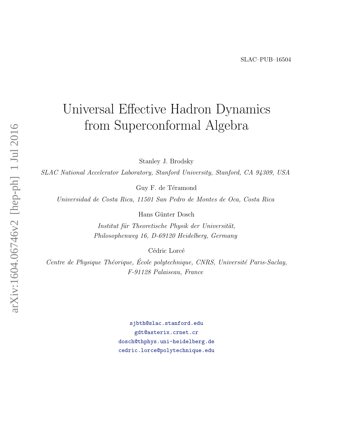# <span id="page-0-0"></span>arXiv:1604.06746v2 [hep-ph] 1 Jul 2016 arXiv:1604.06746v2 [hep-ph] 1 Jul 2016

# Universal Effective Hadron Dynamics from Superconformal Algebra

Stanley J. Brodsky

SLAC National Accelerator Laboratory, Stanford University, Stanford, CA 94309, USA

Guy F. de Téramond

Universidad de Costa Rica, 11501 San Pedro de Montes de Oca, Costa Rica

Hans Günter Dosch

Institut für Theoretische Physik der Universität, Philosophenweg 16, D-69120 Heidelberg, Germany

Cédric Lorcé

Centre de Physique Théorique, École polytechnique, CNRS, Université Paris-Saclay, F-91128 Palaiseau, France

> [sjbth@slac.stanford.edu](mailto:sjbth@slac.stanford.edu) [gdt@asterix.crnet.cr](mailto:gdt@asterix.crnet.cr) [dosch@thphys.uni-heidelberg.de](mailto:dosch@thphys.uni-heidelberg.de) [cedric.lorce@polytechnique.edu](mailto:cedric.lorce@polytechnique.edu)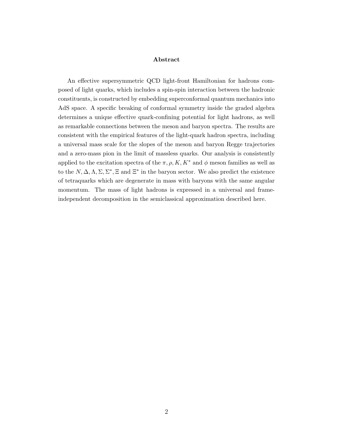#### Abstract

An effective supersymmetric QCD light-front Hamiltonian for hadrons composed of light quarks, which includes a spin-spin interaction between the hadronic constituents, is constructed by embedding superconformal quantum mechanics into AdS space. A specific breaking of conformal symmetry inside the graded algebra determines a unique effective quark-confining potential for light hadrons, as well as remarkable connections between the meson and baryon spectra. The results are consistent with the empirical features of the light-quark hadron spectra, including a universal mass scale for the slopes of the meson and baryon Regge trajectories and a zero-mass pion in the limit of massless quarks. Our analysis is consistently applied to the excitation spectra of the  $\pi$ ,  $\rho$ ,  $K$ ,  $K^*$  and  $\phi$  meson families as well as to the  $N, \Delta, \Lambda, \Sigma, \Sigma^*, \Xi$  and  $\Xi^*$  in the baryon sector. We also predict the existence of tetraquarks which are degenerate in mass with baryons with the same angular momentum. The mass of light hadrons is expressed in a universal and frameindependent decomposition in the semiclassical approximation described here.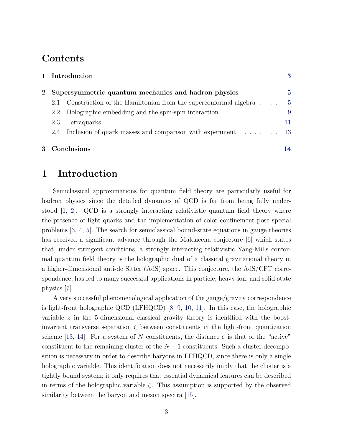# Contents

|      | 1 Introduction<br>Supersymmetric quantum mechanics and hadron physics |                                                                                     |  |  |  |
|------|-----------------------------------------------------------------------|-------------------------------------------------------------------------------------|--|--|--|
| $2-$ |                                                                       |                                                                                     |  |  |  |
|      |                                                                       | Construction of the Hamiltonian from the superconformal algebra $\dots$ 5           |  |  |  |
|      |                                                                       | 2.2 Holographic embedding and the spin-spin interaction 9                           |  |  |  |
|      | 2.3                                                                   |                                                                                     |  |  |  |
|      |                                                                       | 2.4 Inclusion of quark masses and comparison with experiment $\dots \dots \dots$ 13 |  |  |  |
|      |                                                                       |                                                                                     |  |  |  |
|      | 3 Conclusions                                                         |                                                                                     |  |  |  |

## <span id="page-2-0"></span>1 Introduction

Semiclassical approximations for quantum field theory are particularly useful for hadron physics since the detailed dynamics of QCD is far from being fully understood  $\vert 1, 2 \vert$ . QCD is a strongly interacting relativistic quantum field theory where the presence of light quarks and the implementation of color confinement pose special problems [\[3,](#page-17-1) [4,](#page-17-2) [5\]](#page-17-3). The search for semiclassical bound-state equations in gauge theories has received a significant advance through the Maldacena conjecture [\[6\]](#page-17-4) which states that, under stringent conditions, a strongly interacting relativistic Yang-Mills conformal quantum field theory is the holographic dual of a classical gravitational theory in a higher-dimensional anti-de Sitter (AdS) space. This conjecture, the AdS/CFT correspondence, has led to many successful applications in particle, heavy-ion, and solid-state physics [\[7\]](#page-17-5).

A very successful phenomenological application of the gauge/gravity correspondence is light-front holographic QCD (LFHQCD) [\[8,](#page-17-6) [9,](#page-17-7) [10,](#page-17-8) [11\]](#page-17-9). In this case, the holographic variable z in the 5-dimensional classical gravity theory is identified with the boostinvariant transverse separation  $\zeta$  between constituents in the light-front quantization scheme [\[13,](#page-18-0) [14\]](#page-18-1). For a system of N constituents, the distance  $\zeta$  is that of the "active" constituent to the remaining cluster of the  $N-1$  constituents. Such a cluster decomposition is necessary in order to describe baryons in LFHQCD, since there is only a single holographic variable. This identification does not necessarily imply that the cluster is a tightly bound system; it only requires that essential dynamical features can be described in terms of the holographic variable  $\zeta$ . This assumption is supported by the observed similarity between the baryon and meson spectra [\[15\]](#page-18-2).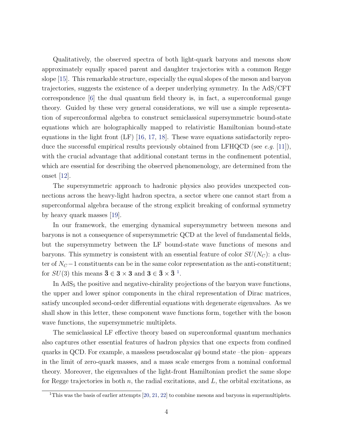Qualitatively, the observed spectra of both light-quark baryons and mesons show approximately equally spaced parent and daughter trajectories with a common Regge slope [\[15\]](#page-18-2). This remarkable structure, especially the equal slopes of the meson and baryon trajectories, suggests the existence of a deeper underlying symmetry. In the AdS/CFT correspondence [\[6\]](#page-17-4) the dual quantum field theory is, in fact, a superconformal gauge theory. Guided by these very general considerations, we will use a simple representation of superconformal algebra to construct semiclassical supersymmetric bound-state equations which are holographically mapped to relativistic Hamiltonian bound-state equations in the light front  $(LF)$  [\[16,](#page-18-3) [17,](#page-18-4) [18\]](#page-18-5). These wave equations satisfactorily repro-duce the successful empirical results previously obtained from LFHQCD (see e.g. [\[11\]](#page-17-9)), with the crucial advantage that additional constant terms in the confinement potential, which are essential for describing the observed phenomenology, are determined from the onset [\[12\]](#page-17-10).

The supersymmetric approach to hadronic physics also provides unexpected connections across the heavy-light hadron spectra, a sector where one cannot start from a superconformal algebra because of the strong explicit breaking of conformal symmetry by heavy quark masses [\[19\]](#page-18-6).

In our framework, the emerging dynamical supersymmetry between mesons and baryons is not a consequence of supersymmetric QCD at the level of fundamental fields, but the supersymmetry between the LF bound-state wave functions of mesons and baryons. This symmetry is consistent with an essential feature of color  $SU(N_C)$ : a cluster of  $N_C-1$  constituents can be in the same color representation as the anti-constituent; for  $SU(3)$  this means  $\bar{\mathbf{3}} \in \mathbf{3} \times \mathbf{3}$  and  $\mathbf{3} \in \bar{\mathbf{3}} \times \bar{\mathbf{3}}^{-1}$  $\mathbf{3} \in \bar{\mathbf{3}} \times \bar{\mathbf{3}}^{-1}$  $\mathbf{3} \in \bar{\mathbf{3}} \times \bar{\mathbf{3}}^{-1}$ .

In  $AdS<sub>5</sub>$  the positive and negative-chirality projections of the baryon wave functions, the upper and lower spinor components in the chiral representation of Dirac matrices, satisfy uncoupled second-order differential equations with degenerate eigenvalues. As we shall show in this letter, these component wave functions form, together with the boson wave functions, the supersymmetric multiplets.

The semiclassical LF effective theory based on superconformal quantum mechanics also captures other essential features of hadron physics that one expects from confined quarks in QCD. For example, a massless pseudoscalar  $q\bar{q}$  bound state –the pion– appears in the limit of zero-quark masses, and a mass scale emerges from a nominal conformal theory. Moreover, the eigenvalues of the light-front Hamiltonian predict the same slope for Regge trajectories in both  $n$ , the radial excitations, and  $L$ , the orbital excitations, as

<sup>&</sup>lt;sup>1</sup>This was the basis of earlier attempts  $[20, 21, 22]$  $[20, 21, 22]$  $[20, 21, 22]$  $[20, 21, 22]$  to combine mesons and baryons in supermultiplets.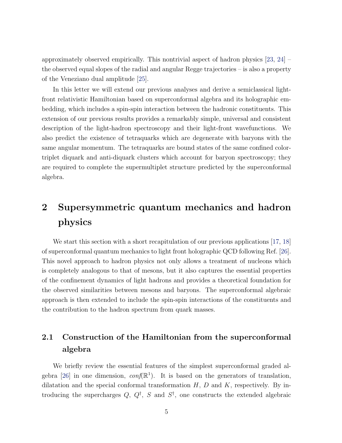approximately observed empirically. This nontrivial aspect of hadron physics [\[23,](#page-19-0) [24\]](#page-19-1) – the observed equal slopes of the radial and angular Regge trajectories – is also a property of the Veneziano dual amplitude [\[25\]](#page-19-2).

In this letter we will extend our previous analyses and derive a semiclassical lightfront relativistic Hamiltonian based on superconformal algebra and its holographic embedding, which includes a spin-spin interaction between the hadronic constituents. This extension of our previous results provides a remarkably simple, universal and consistent description of the light-hadron spectroscopy and their light-front wavefunctions. We also predict the existence of tetraquarks which are degenerate with baryons with the same angular momentum. The tetraquarks are bound states of the same confined colortriplet diquark and anti-diquark clusters which account for baryon spectroscopy; they are required to complete the supermultiplet structure predicted by the superconformal algebra.

# <span id="page-4-0"></span>2 Supersymmetric quantum mechanics and hadron physics

We start this section with a short recapitulation of our previous applications [\[17,](#page-18-4) [18\]](#page-18-5) of superconformal quantum mechanics to light front holographic QCD following Ref. [\[26\]](#page-19-3). This novel approach to hadron physics not only allows a treatment of nucleons which is completely analogous to that of mesons, but it also captures the essential properties of the confinement dynamics of light hadrons and provides a theoretical foundation for the observed similarities between mesons and baryons. The superconformal algebraic approach is then extended to include the spin-spin interactions of the constituents and the contribution to the hadron spectrum from quark masses.

# <span id="page-4-1"></span>2.1 Construction of the Hamiltonian from the superconformal algebra

We briefly review the essential features of the simplest superconformal graded al-gebra [\[26\]](#page-19-3) in one dimension,  $conf(\mathbb{R}^1)$ . It is based on the generators of translation, dilatation and the special conformal transformation  $H, D$  and  $K$ , respectively. By introducing the supercharges  $Q, Q^{\dagger}, S$  and  $S^{\dagger}$ , one constructs the extended algebraic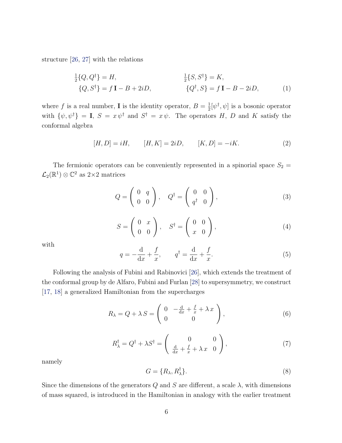structure [\[26,](#page-19-3) [27\]](#page-19-4) with the relations

$$
\frac{1}{2}{Q, Q^{\dagger}} = H, \qquad \frac{1}{2}{S, S^{\dagger}} = K, \n{Q, S^{\dagger}} = f \mathbf{I} - B + 2iD, \qquad {Q^{\dagger}, S} = f \mathbf{I} - B - 2iD, \qquad (1)
$$

where f is a real number, **I** is the identity operator,  $B = \frac{1}{2}$  $\frac{1}{2}[\psi^{\dagger}, \psi]$  is a bosonic operator with  $\{\psi, \psi^{\dagger}\} = I$ ,  $S = x \psi^{\dagger}$  and  $S^{\dagger} = x \psi$ . The operators H, D and K satisfy the conformal algebra

<span id="page-5-4"></span>
$$
[H, D] = iH, \t [H, K] = 2iD, \t [K, D] = -iK.
$$
 (2)

The fermionic operators can be conveniently represented in a spinorial space  $S_2$  =  $\mathcal{L}_2(\mathbb{R}^1) \otimes \mathbb{C}^2$  as 2×2 matrices

$$
Q = \left(\begin{array}{cc} 0 & q \\ 0 & 0 \end{array}\right), \quad Q^{\dagger} = \left(\begin{array}{cc} 0 & 0 \\ q^{\dagger} & 0 \end{array}\right), \tag{3}
$$

$$
S = \left(\begin{array}{cc} 0 & x \\ 0 & 0 \end{array}\right), \quad S^{\dagger} = \left(\begin{array}{cc} 0 & 0 \\ x & 0 \end{array}\right), \tag{4}
$$

<span id="page-5-3"></span>with

<span id="page-5-1"></span>
$$
q = -\frac{\mathrm{d}}{\mathrm{d}x} + \frac{f}{x}, \qquad q^{\dagger} = \frac{\mathrm{d}}{\mathrm{d}x} + \frac{f}{x}.
$$
 (5)

Following the analysis of Fubini and Rabinovici [\[26\]](#page-19-3), which extends the treatment of the conformal group by de Alfaro, Fubini and Furlan [\[28\]](#page-19-5) to supersymmetry, we construct [\[17,](#page-18-4) [18\]](#page-18-5) a generalized Hamiltonian from the supercharges

$$
R_{\lambda} = Q + \lambda S = \begin{pmatrix} 0 & -\frac{d}{dx} + \frac{f}{x} + \lambda x \\ 0 & 0 \end{pmatrix},
$$
 (6)

$$
R_{\lambda}^{\dagger} = Q^{\dagger} + \lambda S^{\dagger} = \begin{pmatrix} 0 & 0 \\ \frac{\mathrm{d}}{\mathrm{d}x} + \frac{f}{x} + \lambda x & 0 \end{pmatrix},\tag{7}
$$

<span id="page-5-2"></span><span id="page-5-0"></span>namely

$$
G = \{R_{\lambda}, R_{\lambda}^{\dagger}\}.
$$
\n<sup>(8)</sup>

Since the dimensions of the generators  $Q$  and  $S$  are different, a scale  $\lambda$ , with dimensions of mass squared, is introduced in the Hamiltonian in analogy with the earlier treatment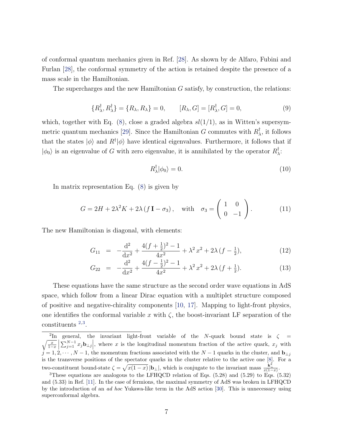of conformal quantum mechanics given in Ref. [\[28\]](#page-19-5). As shown by de Alfaro, Fubini and Furlan [\[28\]](#page-19-5), the conformal symmetry of the action is retained despite the presence of a mass scale in the Hamiltonian.

The supercharges and the new Hamiltonian  $G$  satisfy, by construction, the relations:

$$
\{R^{\dagger}_{\lambda}, R^{\dagger}_{\lambda}\} = \{R_{\lambda}, R_{\lambda}\} = 0, \qquad [R_{\lambda}, G] = [R^{\dagger}_{\lambda}, G] = 0,
$$
\n(9)

which, together with Eq. [\(8\)](#page-5-0), close a graded algebra  $sl(1/1)$ , as in Witten's supersym-metric quantum mechanics [\[29\]](#page-19-6). Since the Hamiltonian G commutes with  $R_{\lambda}^{\dagger}$  $\frac{1}{\lambda}$ , it follows that the states  $|\phi\rangle$  and  $R^{\dagger}|\phi\rangle$  have identical eigenvalues. Furthermore, it follows that if  $|\phi_0\rangle$  is an eigenvalue of G with zero eigenvalue, it is annihilated by the operator  $R_\lambda^\dagger$ λ :

<span id="page-6-1"></span>
$$
R_{\lambda}^{\dagger}|\phi_0\rangle = 0. \tag{10}
$$

In matrix representation Eq. [\(8\)](#page-5-0) is given by

$$
G = 2H + 2\lambda^2 K + 2\lambda (f \mathbf{I} - \sigma_3), \quad \text{with} \quad \sigma_3 = \begin{pmatrix} 1 & 0 \\ 0 & -1 \end{pmatrix}.
$$
 (11)

The new Hamiltonian is diagonal, with elements:

$$
G_{11} = -\frac{\mathrm{d}^2}{\mathrm{d}x^2} + \frac{4(f + \frac{1}{2})^2 - 1}{4x^2} + \lambda^2 x^2 + 2\lambda (f - \frac{1}{2}),\tag{12}
$$

<span id="page-6-0"></span>
$$
G_{22} = -\frac{\mathrm{d}^2}{\mathrm{d}x^2} + \frac{4(f - \frac{1}{2})^2 - 1}{4x^2} + \lambda^2 x^2 + 2\lambda (f + \frac{1}{2}).\tag{13}
$$

These equations have the same structure as the second order wave equations in AdS space, which follow from a linear Dirac equation with a multiplet structure composed of positive and negative-chirality components [\[10,](#page-17-8) [17\]](#page-18-4). Mapping to light-front physics, one identifies the conformal variable x with  $\zeta$ , the boost-invariant LF separation of the constituents [2](#page-0-0),[3](#page-0-0) .

<sup>&</sup>lt;sup>2</sup>In general, the invariant light-front variable of the N-quark bound state is  $\zeta =$  $\sqrt{\frac{x}{1-x}}\sum_{j=1}^{N-1}x_j\mathbf{b}_{\perp j}\Big|$ , where x is the longitudinal momentum fraction of the active quark,  $x_j$  with  $j = 1, 2, \dots, N-1$ , the momentum fractions associated with the  $N-1$  quarks in the cluster, and  $\mathbf{b}_{\perp j}$ is the transverse positions of the spectator quarks in the cluster relative to the active one [\[8\]](#page-17-6). For a two-constituent bound-state  $\zeta = \sqrt{x(1-x)} |\mathbf{b}_{\perp}|$ , which is conjugate to the invariant mass  $\frac{\mathbf{k}_{\perp}^2}{x(1-x)}$ .

<sup>3</sup>These equations are analogous to the LFHQCD relation of Eqs. (5.28) and (5.29) to Eqs. (5.32) and (5.33) in Ref. [\[11\]](#page-17-9). In the case of fermions, the maximal symmetry of AdS was broken in LFHQCD by the introduction of an ad hoc Yukawa-like term in the AdS action [\[30\]](#page-19-7). This is unnecessary using superconformal algebra.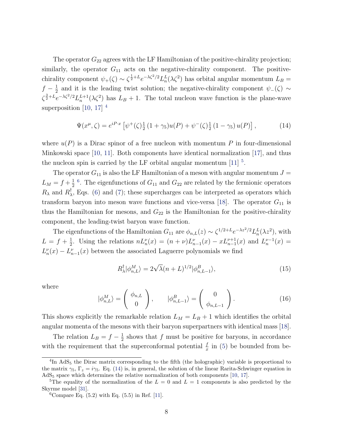The operator  $G_{22}$  agrees with the LF Hamiltonian of the positive-chirality projection; similarly, the operator  $G_{11}$  acts on the negative-chirality component. The positivechirality component  $\psi_+(\zeta) \sim \zeta^{\frac{1}{2}+L} e^{-\lambda \zeta^2/2} L_n^L(\lambda \zeta^2)$  has orbital angular momentum  $L_B =$  $f-\frac{1}{2}$  $\frac{1}{2}$  and it is the leading twist solution; the negative-chirality component  $\psi_-(\zeta) \sim$  $\zeta^{\frac{3}{2}+L}e^{-\lambda\zeta^2/2}L_n^{L+1}(\lambda\zeta^2)$  has  $L_B+1$ . The total nucleon wave function is the plane-wave superposition [\[10,](#page-17-8) [17\]](#page-18-4)<sup>[4](#page-0-0)</sup>

<span id="page-7-0"></span>
$$
\Psi(x^{\mu}, \zeta) = e^{iP \cdot x} \left[ \psi^{+}(\zeta) \frac{1}{2} (1 + \gamma_5) u(P) + \psi^{-}(\zeta) \frac{1}{2} (1 - \gamma_5) u(P) \right],
$$
 (14)

where  $u(P)$  is a Dirac spinor of a free nucleon with momentum P in four-dimensional Minkowski space [\[10,](#page-17-8) [11\]](#page-17-9). Both components have identical normalization [\[17\]](#page-18-4), and thus the nucleon spin is carried by the LF orbital angular momentum  $[11]$ <sup>[5](#page-0-0)</sup>.

The operator  $G_{11}$  is also the LF Hamiltonian of a meson with angular momentum  $J =$  $L_M = f + \frac{1}{2}$ 2 <sup>[6](#page-0-0)</sup>. The eigenfunctions of  $G_{11}$  and  $G_{22}$  are related by the fermionic operators  $R_{\lambda}$  and  $R_{\lambda}^{\dagger}$  $\lambda$ , Eqs. [\(6\)](#page-5-1) and [\(7\)](#page-5-2); these supercharges can be interpreted as operators which transform baryon into meson wave functions and vice-versa [\[18\]](#page-18-5). The operator  $G_{11}$  is thus the Hamiltonian for mesons, and  $G_{22}$  is the Hamiltonian for the positive-chirality component, the leading-twist baryon wave function.

The eigenfunctions of the Hamiltonian  $G_{11}$  are  $\phi_{n,L}(z) \sim \zeta^{1/2+L} e^{-\lambda z^2/2} L_n^L(\lambda z^2)$ , with  $L = f + \frac{1}{2}$ <sup>1</sup>/<sub>2</sub>. Using the relations  $n L_n^{\nu}(x) = (n + \nu) L_{n-1}^{\nu}(x) - x L_{n-1}^{\nu+1}(x)$  and  $L_n^{\nu-1}(x) =$  $L_n^{\nu}(x) - L_{n-1}^{\nu}(x)$  between the associated Laguerre polynomials we find

<span id="page-7-1"></span>
$$
R^{\dagger}_{\lambda}|\phi_{n,L}^{M}\rangle = 2\sqrt{\lambda}(n+L)^{1/2}|\phi_{n,L-1}^{B}\rangle, \tag{15}
$$

where

$$
|\phi_{n,L}^M\rangle = \begin{pmatrix} \phi_{n,L} \\ 0 \end{pmatrix}, \qquad |\phi_{n,L-1}^B\rangle = \begin{pmatrix} 0 \\ \phi_{n,L-1} \end{pmatrix}.
$$
 (16)

This shows explicitly the remarkable relation  $L_M = L_B + 1$  which identifies the orbital angular momenta of the mesons with their baryon superpartners with identical mass [\[18\]](#page-18-5).

The relation  $L_B = f - \frac{1}{2}$  $\frac{1}{2}$  shows that f must be positive for baryons, in accordance with the requirement that the superconformal potential  $\frac{f}{x}$  in [\(5\)](#page-5-3) be bounded from be-

<sup>&</sup>lt;sup>4</sup>In AdS<sub>5</sub> the Dirac matrix corresponding to the fifth (the holographic) variable is proportional to the matrix  $\gamma_5$ ,  $\Gamma_z = i\gamma_5$ . Eq. [\(14\)](#page-7-0) is, in general, the solution of the linear Rarita-Schwinger equation in  $AdS<sub>5</sub>$  space which determines the relative normalization of both components [\[10,](#page-17-8) [17\]](#page-18-4).

<sup>&</sup>lt;sup>5</sup>The equality of the normalization of the  $L = 0$  and  $L = 1$  components is also predicted by the Skyrme model [\[31\]](#page-19-8).

<sup>&</sup>lt;sup>6</sup>Compare Eq.  $(5.2)$  with Eq.  $(5.5)$  in Ref. [\[11\]](#page-17-9).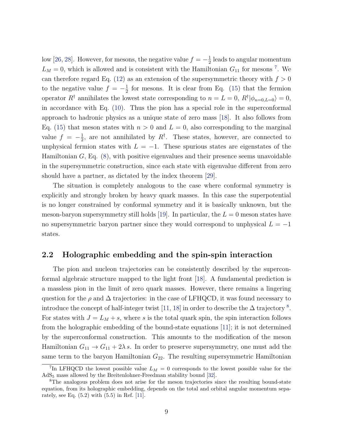low [\[26,](#page-19-3) [28\]](#page-19-5). However, for mesons, the negative value  $f = -\frac{1}{2}$  $\frac{1}{2}$  leads to angular momentum  $L_M = 0$ , which is allowed and is consistent with the Hamiltonian  $G_{11}$  for mesons <sup>[7](#page-0-0)</sup>. We can therefore regard Eq. [\(12\)](#page-6-0) as an extension of the supersymmetric theory with  $f > 0$ to the negative value  $f = -\frac{1}{2}$  $\frac{1}{2}$  for mesons. It is clear from Eq. [\(15\)](#page-7-1) that the fermion operator  $R^{\dagger}$  annihilates the lowest state corresponding to  $n = L = 0$ ,  $R^{\dagger} | \phi_{n=0,L=0} \rangle = 0$ , in accordance with Eq. [\(10\)](#page-6-1). Thus the pion has a special role in the superconformal approach to hadronic physics as a unique state of zero mass [\[18\]](#page-18-5). It also follows from Eq. [\(15\)](#page-7-1) that meson states with  $n > 0$  and  $L = 0$ , also corresponding to the marginal value  $f = -\frac{1}{2}$  $\frac{1}{2}$ , are not annihilated by  $R^{\dagger}$ . These states, however, are connected to unphysical fermion states with  $L = -1$ . These spurious states are eigenstates of the Hamiltonian  $G$ , Eq.  $(8)$ , with positive eigenvalues and their presence seems unavoidable in the supersymmetric construction, since each state with eigenvalue different from zero should have a partner, as dictated by the index theorem [\[29\]](#page-19-6).

The situation is completely analogous to the case where conformal symmetry is explicitly and strongly broken by heavy quark masses. In this case the superpotential is no longer constrained by conformal symmetry and it is basically unknown, but the meson-baryon supersymmetry still holds [\[19\]](#page-18-6). In particular, the  $L = 0$  meson states have no supersymmetric baryon partner since they would correspond to unphysical  $L = -1$ states.

#### <span id="page-8-0"></span>2.2 Holographic embedding and the spin-spin interaction

The pion and nucleon trajectories can be consistently described by the superconformal algebraic structure mapped to the light front [\[18\]](#page-18-5). A fundamental prediction is a massless pion in the limit of zero quark masses. However, there remains a lingering question for the  $\rho$  and  $\Delta$  trajectories: in the case of LFHQCD, it was found necessary to introduce the concept of half-integer twist [\[11,](#page-17-9) [18\]](#page-18-5) in order to describe the  $\Delta$  trajectory <sup>[8](#page-0-0)</sup>. For states with  $J = L_M + s$ , where s is the total quark spin, the spin interaction follows from the holographic embedding of the bound-state equations [\[11\]](#page-17-9); it is not determined by the superconformal construction. This amounts to the modification of the meson Hamiltonian  $G_{11} \rightarrow G_{11} + 2\lambda s$ . In order to preserve supersymmetry, one must add the same term to the baryon Hamiltonian  $G_{22}$ . The resulting supersymmetric Hamiltonian

<sup>&</sup>lt;sup>7</sup>In LFHQCD the lowest possible value  $L_M = 0$  corresponds to the lowest possible value for the AdS<sup>5</sup> mass allowed by the Breitenlohner-Freedman stability bound [\[32\]](#page-19-9).

<sup>&</sup>lt;sup>8</sup>The analogous problem does not arise for the meson trajectories since the resulting bound-state equation, from its holographic embedding, depends on the total and orbital angular momentum separately, see Eq. (5.2) with (5.5) in Ref. [\[11\]](#page-17-9).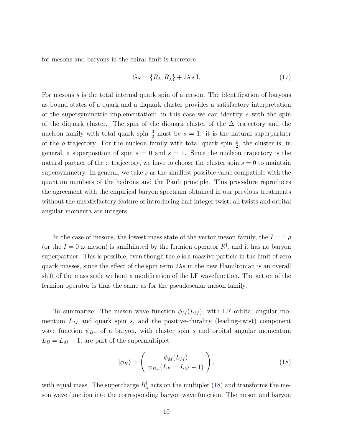for mesons and baryons in the chiral limit is therefore

<span id="page-9-1"></span>
$$
G_S = \{R_\lambda, R_\lambda^\dagger\} + 2\lambda s \mathbf{I},\tag{17}
$$

For mesons s is the total internal quark spin of a meson. The identification of baryons as bound states of a quark and a diquark cluster provides a satisfactory interpretation of the supersymmetric implementation: in this case we can identify s with the spin of the diquark cluster. The spin of the diquark cluster of the ∆ trajectory and the nucleon family with total quark spin  $\frac{3}{2}$  must be  $s = 1$ : it is the natural superpartner of the  $\rho$  trajectory. For the nucleon family with total quark spin  $\frac{1}{2}$ , the cluster is, in general, a superposition of spin  $s = 0$  and  $s = 1$ . Since the nucleon trajectory is the natural partner of the  $\pi$  trajectory, we have to choose the cluster spin  $s = 0$  to maintain supersymmetry. In general, we take  $s$  as the smallest possible value compatible with the quantum numbers of the hadrons and the Pauli principle. This procedure reproduces the agreement with the empirical baryon spectrum obtained in our previous treatments without the unsatisfactory feature of introducing half-integer twist; all twists and orbital angular momenta are integers.

In the case of mesons, the lowest mass state of the vector meson family, the  $I = 1 \rho$ (or the  $I = 0$   $\omega$  meson) is annihilated by the fermion operator  $R^{\dagger}$ , and it has no baryon superpartner. This is possible, even though the  $\rho$  is a massive particle in the limit of zero quark masses, since the effect of the spin term  $2\lambda s$  in the new Hamiltonian is an overall shift of the mass scale without a modification of the LF wavefunction. The action of the fermion operator is thus the same as for the pseudoscalar meson family.

To summarize: The meson wave function  $\phi_M(L_M)$ , with LF orbital angular momentum  $L_M$  and quark spin s, and the positive-chirality (leading-twist) component wave function  $\psi_{B+}$  of a baryon, with cluster spin s and orbital angular momentum  $L_B = L_M - 1$ , are part of the supermultiplet

<span id="page-9-0"></span>
$$
|\phi_H\rangle = \begin{pmatrix} \phi_M(L_M) \\ \psi_{B+}(L_B = L_M - 1) \end{pmatrix},
$$
\n(18)

with equal mass. The supercharge  $R_{\lambda}^{\dagger}$  $\frac{1}{\lambda}$  acts on the multiplet [\(18\)](#page-9-0) and transforms the meson wave function into the corresponding baryon wave function. The meson and baryon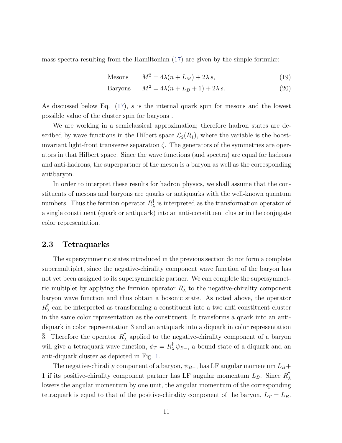mass spectra resulting from the Hamiltonian [\(17\)](#page-9-1) are given by the simple formulæ:

$$
Mesons \t M^2 = 4\lambda(n + L_M) + 2\lambda s,
$$
\t(19)

$$
Baryons \t M^2 = 4\lambda(n + L_B + 1) + 2\lambda s. \t(20)
$$

As discussed below Eq. [\(17\)](#page-9-1), s is the internal quark spin for mesons and the lowest possible value of the cluster spin for baryons .

We are working in a semiclassical approximation; therefore hadron states are described by wave functions in the Hilbert space  $\mathcal{L}_2(R_1)$ , where the variable is the boostinvariant light-front transverse separation  $\zeta$ . The generators of the symmetries are operators in that Hilbert space. Since the wave functions (and spectra) are equal for hadrons and anti-hadrons, the superpartner of the meson is a baryon as well as the corresponding antibaryon.

In order to interpret these results for hadron physics, we shall assume that the constituents of mesons and baryons are quarks or antiquarks with the well-known quantum numbers. Thus the fermion operator  $R_{\lambda}^{\dagger}$  $\frac{1}{\lambda}$  is interpreted as the transformation operator of a single constituent (quark or antiquark) into an anti-constituent cluster in the conjugate color representation.

#### <span id="page-10-0"></span>2.3 Tetraquarks

The supersymmetric states introduced in the previous section do not form a complete supermultiplet, since the negative-chirality component wave function of the baryon has not yet been assigned to its supersymmetric partner. We can complete the supersymmetric multiplet by applying the fermion operator  $R_{\lambda}^{\dagger}$  $\lambda$  to the negative-chirality component baryon wave function and thus obtain a bosonic state. As noted above, the operator  $R_\lambda^\dagger$  $\lambda$  can be interpreted as transforming a constituent into a two-anti-constituent cluster in the same color representation as the constituent. It transforms a quark into an antidiquark in color representation 3 and an antiquark into a diquark in color representation 3. Therefore the operator  $R_{\lambda}^{\dagger}$  $\lambda$  applied to the negative-chirality component of a baryon will give a tetraquark wave function,  $\phi_T = R_\lambda^{\dagger} \psi_{B-}$ , a bound state of a diquark and an anti-diquark cluster as depicted in Fig. [1.](#page-11-0)

The negative-chirality component of a baryon,  $\psi_{B-}$ , has LF angular momentum  $L_B +$ 1 if its positive-chirality component partner has LF angular momentum  $L_B$ . Since  $R_{\lambda}^{\dagger}$ λ lowers the angular momentum by one unit, the angular momentum of the corresponding tetraquark is equal to that of the positive-chirality component of the baryon,  $L_T = L_B$ .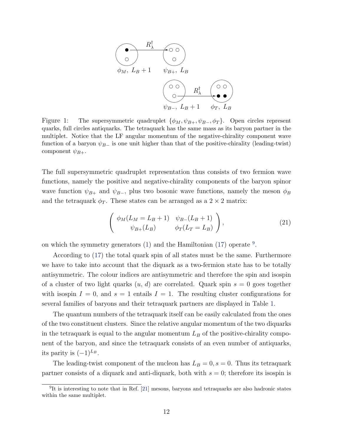

<span id="page-11-0"></span>Figure 1: The supersymmetric quadruplet  $\{\phi_M, \psi_{B+}, \psi_{B-}, \phi_T\}$ . Open circles represent quarks, full circles antiquarks. The tetraquark has the same mass as its baryon partner in the multiplet. Notice that the LF angular momentum of the negative-chirality component wave function of a baryon  $\psi_{B-}$  is one unit higher than that of the positive-chirality (leading-twist) component  $\psi_{B+}$ .

The full supersymmetric quadruplet representation thus consists of two fermion wave functions, namely the positive and negative-chirality components of the baryon spinor wave function  $\psi_{B+}$  and  $\psi_{B-}$ , plus two bosonic wave functions, namely the meson  $\phi_B$ and the tetraquark  $\phi_T$ . These states can be arranged as a 2 × 2 matrix:

$$
\begin{pmatrix}\n\phi_M(L_M = L_B + 1) & \psi_{B-}(L_B + 1) \\
\psi_{B+}(L_B) & \phi_T(L_T = L_B)\n\end{pmatrix},
$$
\n(21)

on which the symmetry generators  $(1)$  and the Hamiltonian  $(17)$  operate  $9$ .

According to [\(17\)](#page-9-1) the total quark spin of all states must be the same. Furthermore we have to take into account that the diquark as a two-fermion state has to be totally antisymmetric. The colour indices are antisymmetric and therefore the spin and isospin of a cluster of two light quarks  $(u, d)$  are correlated. Quark spin  $s = 0$  goes together with isospin  $I = 0$ , and  $s = 1$  entails  $I = 1$ . The resulting cluster configurations for several families of baryons and their tetraquark partners are displayed in Table [1.](#page-12-1)

The quantum numbers of the tetraquark itself can be easily calculated from the ones of the two constituent clusters. Since the relative angular momentum of the two diquarks in the tetraquark is equal to the angular momentum  $L_B$  of the positive-chirality component of the baryon, and since the tetraquark consists of an even number of antiquarks, its parity is  $(-1)^{L_B}$ .

The leading-twist component of the nucleon has  $L_B = 0, s = 0$ . Thus its tetraquark partner consists of a diquark and anti-diquark, both with  $s = 0$ ; therefore its isospin is

<sup>&</sup>lt;sup>9</sup>It is interesting to note that in Ref. [\[21\]](#page-18-8) mesons, baryons and tetraquarks are also hadronic states within the same multiplet.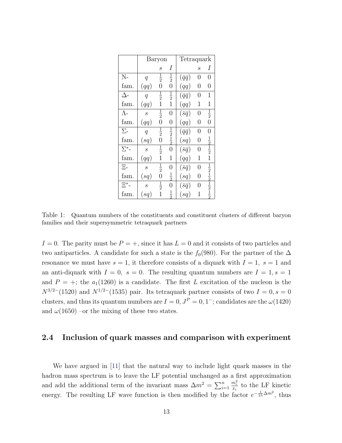|              | Baryon            |                |                             | Tetraquark         |   |                                                                       |
|--------------|-------------------|----------------|-----------------------------|--------------------|---|-----------------------------------------------------------------------|
|              |                   | S              | Ι                           |                    | S | Ι                                                                     |
| $N -$        | $\overline{q}$    | $\frac{1}{2}$  | $\frac{1}{2}$               | $(\bar{q}\bar{q})$ | 0 | 0                                                                     |
| fam.         | (qq)              | $\overline{0}$ | $\overline{0}$              | (qq)               | 0 | 0                                                                     |
| Δ-           | $\overline{q}$    | $\frac{1}{2}$  | $\frac{1}{2}$               | $(\bar{q}\bar{q})$ | 0 | 1                                                                     |
| fam.         | (qq)              | 1              | $\overline{1}$              | (qq)               | 1 | 1                                                                     |
| $\Lambda$ -  | $\mathcal{S}_{0}$ | $\frac{1}{2}$  | 0                           | $(\bar s \bar q)$  | 0 | $\frac{1}{2}$                                                         |
| fam.         | (qq)              | $\overline{0}$ | 0                           | (qq)               | 0 | $\overline{0}$                                                        |
| $\Sigma$ -   | $\overline{q}$    | $\frac{1}{2}$  |                             | $(\bar q \bar q)$  | 0 | 0                                                                     |
| fam.         | (sq)              | $\overline{0}$ | $\frac{1}{2}$ $\frac{1}{2}$ | (sq)               | 0 |                                                                       |
| $\Sigma^*$ - | $\overline{s}$    | $\frac{1}{2}$  | $\overline{0}$              | $(\bar{s}\bar{q})$ | 0 | $\frac{1}{2}$ $\frac{1}{2}$                                           |
| fam.         | (qq)              | 1              | 1                           | (qq)               | 1 | 1                                                                     |
| $\Xi$ -      | S                 | $\frac{1}{2}$  | $\overline{0}$              | $(\bar{s}\bar{q})$ | 0 |                                                                       |
| fam.         | (sq)              | $\overline{0}$ | $\frac{1}{2}$               | (sq)               | 0 |                                                                       |
| $\Xi^*$ -    | $\mathcal{S}_{0}$ | $\frac{1}{2}$  | 0                           | $(\bar s \bar q)$  | 0 | $\frac{1}{2}$ $\frac{1}{2}$ $\frac{1}{2}$ $\frac{1}{2}$ $\frac{1}{2}$ |
| fam.         | (sq)              | 1              | $\frac{1}{2}$               | (sq)               | 1 |                                                                       |

<span id="page-12-1"></span>Table 1: Quantum numbers of the constituents and constituent clusters of different baryon families and their supersymmetric tetraquark partners

 $I = 0$ . The parity must be  $P = +$ , since it has  $L = 0$  and it consists of two particles and two antiparticles. A candidate for such a state is the  $f_0(980)$ . For the partner of the  $\Delta$ resonance we must have  $s = 1$ , it therefore consists of a diquark with  $I = 1$ ,  $s = 1$  and an anti-diquark with  $I = 0$ ,  $s = 0$ . The resulting quantum numbers are  $I = 1$ ,  $s = 1$ and  $P = +$ ; the  $a_1(1260)$  is a candidate. The first L excitation of the nucleon is the  $N^{3/2-}(1520)$  and  $N^{1/2-}(1535)$  pair. Its tetraquark partner consists of two  $I=0, s=0$ clusters, and thus its quantum numbers are  $I = 0, J<sup>P</sup> = 0, 1<sup>-</sup>$ ; candidates are the  $\omega(1420)$ and  $\omega(1650)$  –or the mixing of these two states.

#### <span id="page-12-0"></span>2.4 Inclusion of quark masses and comparison with experiment

We have argued in [\[11\]](#page-17-9) that the natural way to include light quark masses in the hadron mass spectrum is to leave the LF potential unchanged as a first approximation and add the additional term of the invariant mass  $\Delta m^2 = \sum_{i=1}^n$  $\frac{m_i^2}{x_i}$  to the LF kinetic energy. The resulting LF wave function is then modified by the factor  $e^{-\frac{1}{2\lambda}\Delta m^2}$ , thus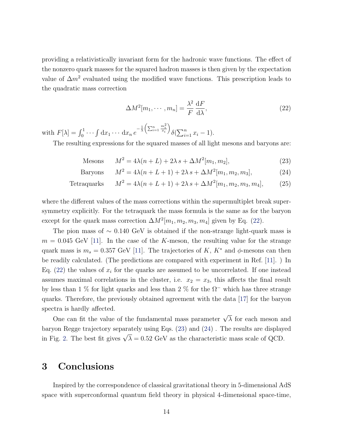providing a relativistically invariant form for the hadronic wave functions. The effect of the nonzero quark masses for the squared hadron masses is then given by the expectation value of  $\Delta m^2$  evaluated using the modified wave functions. This prescription leads to the quadratic mass correction

<span id="page-13-1"></span>
$$
\Delta M^2[m_1, \cdots, m_n] = \frac{\lambda^2}{F} \frac{\mathrm{d}F}{\mathrm{d}\lambda},\tag{22}
$$

with  $F[\lambda] = \int_0^1 \cdots \int dx_1 \cdots dx_n e^{-\frac{1}{\lambda} \left(\sum_{i=1}^n \frac{m_i^2}{x_i}\right)}$  $\setminus$  $\delta(\sum_{i=1}^n x_i - 1).$ 

The resulting expressions for the squared masses of all light mesons and baryons are:

<span id="page-13-2"></span>
$$
\text{Mesons} \qquad M^2 = 4\lambda(n+L) + 2\lambda s + \Delta M^2[m_1, m_2],\tag{23}
$$

Baryons 
$$
M^2 = 4\lambda(n + L + 1) + 2\lambda s + \Delta M^2[m_1, m_2, m_3],
$$
 (24)

Tetraguayks 
$$
M^2 = 4\lambda(n + L + 1) + 2\lambda s + \Delta M^2[m_1, m_2, m_3, m_4],
$$
 (25)

where the different values of the mass corrections within the supermultiplet break supersymmetry explicitly. For the tetraquark the mass formula is the same as for the baryon except for the quark mass correction  $\Delta M^2[m_1, m_2, m_3, m_4]$  given by Eq. [\(22\)](#page-13-1).

The pion mass of  $\sim 0.140 \text{ GeV}$  is obtained if the non-strange light-quark mass is  $m = 0.045$  GeV [\[11\]](#page-17-9). In the case of the K-meson, the resulting value for the strange quark mass is  $m_s = 0.357$  GeV [\[11\]](#page-17-9). The trajectories of K,  $K^*$  and  $\phi$ -mesons can then be readily calculated. (The predictions are compared with experiment in Ref. [\[11\]](#page-17-9). ) In Eq. [\(22\)](#page-13-1) the values of  $x_i$  for the quarks are assumed to be uncorrelated. If one instead assumes maximal correlations in the cluster, i.e.  $x_2 = x_3$ , this affects the final result by less than 1 % for light quarks and less than 2 % for the  $\Omega$ <sup>-</sup> which has three strange quarks. Therefore, the previously obtained agreement with the data [\[17\]](#page-18-4) for the baryon spectra is hardly affected.

One can fit the value of the fundamental mass parameter  $\sqrt{\lambda}$  for each meson and baryon Regge trajectory separately using Eqs. [\(23\)](#page-13-2) and [\(24\)](#page-13-2) . The results are displayed  $\alpha$  is anyon regge trajectory separately using Eqs. (25) and (24). The results are display<br>in Fig. [2.](#page-14-0) The best fit gives  $\sqrt{\lambda} = 0.52$  GeV as the characteristic mass scale of QCD.

### <span id="page-13-0"></span>3 Conclusions

Inspired by the correspondence of classical gravitational theory in 5-dimensional AdS space with superconformal quantum field theory in physical 4-dimensional space-time,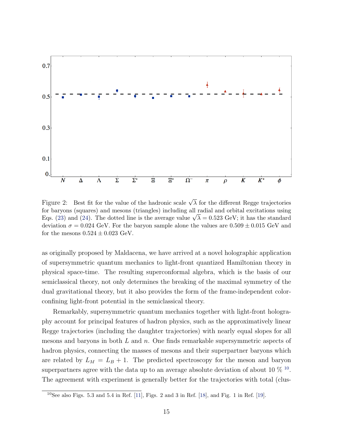

<span id="page-14-0"></span>Figure 2: Best fit for the value of the hadronic scale  $\sqrt{\lambda}$  for the different Regge trajectories for baryons (squares) and mesons (triangles) including all radial and orbital excitations using for baryons (squares) and mesons (triangles) including all radial and orbital excitations using<br>Eqs. [\(23\)](#page-13-2) and [\(24\)](#page-13-2). The dotted line is the average value  $\sqrt{\lambda} = 0.523$  GeV; it has the standard deviation  $\sigma = 0.024$  GeV. For the baryon sample alone the values are  $0.509 \pm 0.015$  GeV and for the mesons  $0.524 \pm 0.023$  GeV.

as originally proposed by Maldacena, we have arrived at a novel holographic application of supersymmetric quantum mechanics to light-front quantized Hamiltonian theory in physical space-time. The resulting superconformal algebra, which is the basis of our semiclassical theory, not only determines the breaking of the maximal symmetry of the dual gravitational theory, but it also provides the form of the frame-independent colorconfining light-front potential in the semiclassical theory.

Remarkably, supersymmetric quantum mechanics together with light-front holography account for principal features of hadron physics, such as the approximatively linear Regge trajectories (including the daughter trajectories) with nearly equal slopes for all mesons and baryons in both  $L$  and  $n$ . One finds remarkable supersymmetric aspects of hadron physics, connecting the masses of mesons and their superpartner baryons which are related by  $L_M = L_B + 1$ . The predicted spectroscopy for the meson and baryon superpartners agree with the data up to an average absolute deviation of about [10](#page-0-0)  $\%$  <sup>10</sup>. The agreement with experiment is generally better for the trajectories with total (clus-

<sup>&</sup>lt;sup>10</sup>See also Figs. 5.3 and 5.4 in Ref. [\[11\]](#page-17-9), Figs. 2 and 3 in Ref. [\[18\]](#page-18-5), and Fig. 1 in Ref. [\[19\]](#page-18-6).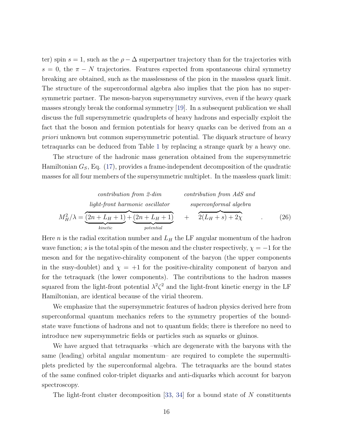ter) spin  $s = 1$ , such as the  $\rho - \Delta$  superpartner trajectory than for the trajectories with  $s = 0$ , the  $\pi - N$  trajectories. Features expected from spontaneous chiral symmetry breaking are obtained, such as the masslessness of the pion in the massless quark limit. The structure of the superconformal algebra also implies that the pion has no supersymmetric partner. The meson-baryon supersymmetry survives, even if the heavy quark masses strongly break the conformal symmetry [\[19\]](#page-18-6). In a subsequent publication we shall discuss the full supersymmetric quadruplets of heavy hadrons and especially exploit the fact that the boson and fermion potentials for heavy quarks can be derived from an a priori unknown but common supersymmetric potential. The diquark structure of heavy tetraquarks can be deduced from Table [1](#page-12-1) by replacing a strange quark by a heavy one.

The structure of the hadronic mass generation obtained from the supersymmetric Hamiltonian  $G<sub>S</sub>$ , Eq. [\(17\)](#page-9-1), provides a frame-independent decomposition of the quadratic masses for all four members of the supersymmetric multiplet. In the massless quark limit:

\n contribution from 2-dim\n

\n\n distribution from AdS and\n

\n\n
$$
M_H^2 / \lambda = \underbrace{(2n + L_H + 1)}_{\text{kinetic}} + \underbrace{(2n + L_H + 1)}_{\text{potential}} + \underbrace{(2n + L_H + 1)}_{\text{potential}} + \underbrace{(2L_H + s) + 2\chi}_{\text{2}}.
$$
\n

\n\n (26)\n

Here *n* is the radial excitation number and  $L_H$  the LF angular momentum of the hadron wave function; s is the total spin of the meson and the cluster respectively,  $\chi = -1$  for the meson and for the negative-chirality component of the baryon (the upper components in the susy-doublet) and  $\chi = +1$  for the positive-chirality component of baryon and for the tetraquark (the lower components). The contributions to the hadron masses squared from the light-front potential  $\lambda^2 \zeta^2$  and the light-front kinetic energy in the LF Hamiltonian, are identical because of the virial theorem.

We emphasize that the supersymmetric features of hadron physics derived here from superconformal quantum mechanics refers to the symmetry properties of the boundstate wave functions of hadrons and not to quantum fields; there is therefore no need to introduce new supersymmetric fields or particles such as squarks or gluinos.

We have argued that tetraquarks –which are degenerate with the baryons with the same (leading) orbital angular momentum– are required to complete the supermultiplets predicted by the superconformal algebra. The tetraquarks are the bound states of the same confined color-triplet diquarks and anti-diquarks which account for baryon spectroscopy.

The light-front cluster decomposition  $[33, 34]$  $[33, 34]$  $[33, 34]$  for a bound state of N constituents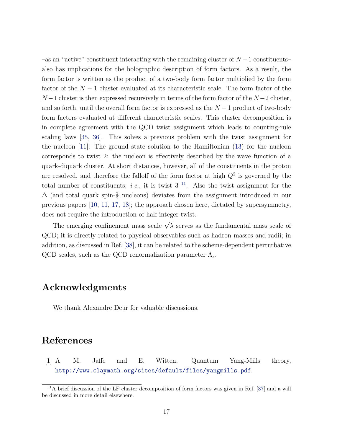$-$ as an "active" constituent interacting with the remaining cluster of  $N-1$  constituents– also has implications for the holographic description of form factors. As a result, the form factor is written as the product of a two-body form factor multiplied by the form factor of the  $N-1$  cluster evaluated at its characteristic scale. The form factor of the  $N-1$  cluster is then expressed recursively in terms of the form factor of the  $N-2$  cluster, and so forth, until the overall form factor is expressed as the  $N-1$  product of two-body form factors evaluated at different characteristic scales. This cluster decomposition is in complete agreement with the QCD twist assignment which leads to counting-rule scaling laws [\[35,](#page-19-12) [36\]](#page-20-0). This solves a previous problem with the twist assignment for the nucleon [\[11\]](#page-17-9): The ground state solution to the Hamiltonian [\(13\)](#page-6-0) for the nucleon corresponds to twist 2: the nucleon is effectively described by the wave function of a quark-diquark cluster. At short distances, however, all of the constituents in the proton are resolved, and therefore the falloff of the form factor at high  $Q<sup>2</sup>$  is governed by the total number of constituents; *i.e.*, it is twist  $3<sup>11</sup>$  $3<sup>11</sup>$  $3<sup>11</sup>$ . Also the twist assignment for the  $\Delta$  (and total quark spin- $\frac{3}{2}$  nucleons) deviates from the assignment introduced in our previous papers [\[10,](#page-17-8) [11,](#page-17-9) [17,](#page-18-4) [18\]](#page-18-5); the approach chosen here, dictated by supersymmetry, does not require the introduction of half-integer twist.

The emerging confinement mass scale  $\sqrt{\lambda}$  serves as the fundamental mass scale of QCD; it is directly related to physical observables such as hadron masses and radii; in addition, as discussed in Ref. [\[38\]](#page-20-1), it can be related to the scheme-dependent perturbative QCD scales, such as the QCD renormalization parameter  $\Lambda_s.$ 

## Acknowledgments

We thank Alexandre Deur for valuable discussions.

# <span id="page-16-0"></span>References

[1] A. M. Jaffe and E. Witten, Quantum Yang-Mills theory, <http://www.claymath.org/sites/default/files/yangmills.pdf>.

 $11$ A brief discussion of the LF cluster decomposition of form factors was given in Ref. [\[37\]](#page-20-2) and a will be discussed in more detail elsewhere.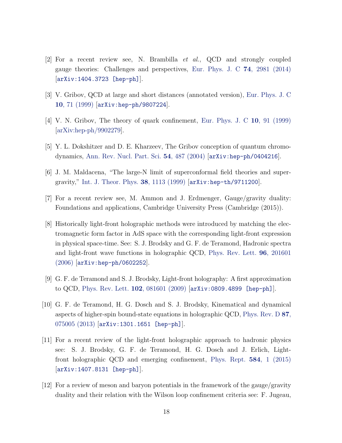- <span id="page-17-0"></span>[2] For a recent review see, N. Brambilla et al., QCD and strongly coupled gauge theories: Challenges and perspectives, [Eur. Phys. J. C](http://link.springer.com/article/10.1140%2Fepjc%2Fs10052-014-2981-5) 74, 2981 (2014) [[arXiv:1404.3723 \[hep-ph\]](http://arxiv.org/abs/1404.3723)].
- <span id="page-17-1"></span>[3] V. Gribov, QCD at large and short distances (annotated version), [Eur. Phys. J. C](http://link.springer.com/article/10.1007%2Fs100529900051) 10[, 71 \(1999\)](http://link.springer.com/article/10.1007%2Fs100529900051) [[arXiv:hep-ph/9807224](http://arxiv.org/abs/hep-ph/9807224)].
- <span id="page-17-2"></span>[4] V. N. Gribov, The theory of quark confinement, [Eur. Phys. J. C](http://link.springer.com/article/10.1007%2Fs100529900052) 10, 91 (1999) [\[arXiv:hep-ph/9902279\]](http://arxiv.org/abs/hep-ph/9902279).
- <span id="page-17-3"></span>[5] Y. L. Dokshitzer and D. E. Kharzeev, The Gribov conception of quantum chromodynamics, [Ann. Rev. Nucl. Part. Sci.](http://www.annualreviews.org/doi/abs/10.1146/annurev.nucl.54.070103.181224) 54, 487 (2004) [[arXiv:hep-ph/0404216](http://arxiv.org/abs/hep-ph/0404216)].
- <span id="page-17-4"></span>[6] J. M. Maldacena, "The large-N limit of superconformal field theories and supergravity," [Int. J. Theor. Phys.](http://www.springerlink.com/content/q508214382421612/) 38, 1113 (1999) [[arXiv:hep-th/9711200](http://arXiv.org/abs/hep-th/9711200)].
- <span id="page-17-5"></span>[7] For a recent review see, M. Ammon and J. Erdmenger, Gauge/gravity duality: Foundations and applications, Cambridge University Press (Cambridge (2015)).
- <span id="page-17-6"></span>[8] Historically light-front holographic methods were introduced by matching the electromagnetic form factor in AdS space with the corresponding light-front expression in physical space-time. See: S. J. Brodsky and G. F. de Teramond, Hadronic spectra and light-front wave functions in holographic QCD, [Phys. Rev. Lett.](http://prl.aps.org/abstract/PRL/v96/i20/e201601) 96, 201601 [\(2006\)](http://prl.aps.org/abstract/PRL/v96/i20/e201601) [[arXiv:hep-ph/0602252](http://arXiv.org/abs/hep-ph/0602252)].
- <span id="page-17-7"></span>[9] G. F. de Teramond and S. J. Brodsky, Light-front holography: A first approximation to QCD, [Phys. Rev. Lett.](http://prl.aps.org/abstract/PRL/v102/i8/e081601) 102, 081601 (2009) [[arXiv:0809.4899 \[hep-ph\]](http://arXiv.org/abs/0809.4899)].
- <span id="page-17-8"></span>[10] G. F. de Teramond, H. G. Dosch and S. J. Brodsky, Kinematical and dynamical aspects of higher-spin bound-state equations in holographic QCD, [Phys. Rev. D](http://prd.aps.org/abstract/PRD/v87/i7/e075005) 87, [075005 \(2013\)](http://prd.aps.org/abstract/PRD/v87/i7/e075005) [[arXiv:1301.1651 \[hep-ph\]](http://arxiv.org/abs/arXiv:1301.1651)].
- <span id="page-17-9"></span>[11] For a recent review of the light-front holographic approach to hadronic physics see: S. J. Brodsky, G. F. de Teramond, H. G. Dosch and J. Erlich, Lightfront holographic QCD and emerging confinement, [Phys. Rept.](http://www.sciencedirect.com/science/article/pii/S0370157315002306) 584, 1 (2015) [[arXiv:1407.8131 \[hep-ph\]](http://arxiv.org/abs/1407.8131)].
- <span id="page-17-10"></span>[12] For a review of meson and baryon potentials in the framework of the gauge/gravity duality and their relation with the Wilson loop confinement criteria see: F. Jugeau,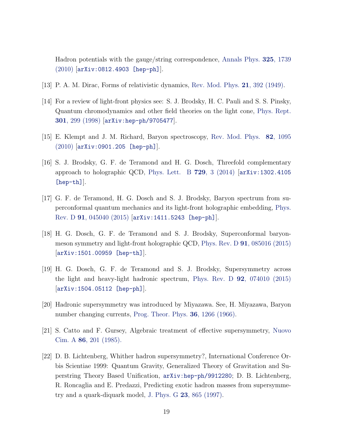Hadron potentials with the gauge/string correspondence, [Annals Phys.](http://www.sciencedirect.com/science/article/pii/S0003491610000369) 325, 1739 [\(2010\)](http://www.sciencedirect.com/science/article/pii/S0003491610000369) [[arXiv:0812.4903 \[hep-ph\]](https://arxiv.org/abs/0812.4903)].

- <span id="page-18-0"></span>[13] P. A. M. Dirac, Forms of relativistic dynamics, [Rev. Mod. Phys.](http://rmp.aps.org/abstract/RMP/v21/i3/p392_1) 21, 392 (1949).
- <span id="page-18-1"></span>[14] For a review of light-front physics see: S. J. Brodsky, H. C. Pauli and S. S. Pinsky, Quantum chromodynamics and other field theories on the light cone, [Phys. Rept.](http://www.sciencedirect.com/science/article/pii/S0370157397000896) 301[, 299 \(1998\)](http://www.sciencedirect.com/science/article/pii/S0370157397000896) [[arXiv:hep-ph/9705477](http://arXiv.org/abs/hep-ph/9705477)].
- <span id="page-18-2"></span>[15] E. Klempt and J. M. Richard, Baryon spectroscopy, [Rev. Mod. Phys.](http://rmp.aps.org/abstract/RMP/v82/i2/p1095_1) 82, 1095 [\(2010\)](http://rmp.aps.org/abstract/RMP/v82/i2/p1095_1) [[arXiv:0901.205 \[hep-ph\]](http://arXiv.org/abs/0901.2055)].
- <span id="page-18-3"></span>[16] S. J. Brodsky, G. F. de Teramond and H. G. Dosch, Threefold complementary approach to holographic QCD, [Phys. Lett. B](http://www.sciencedirect.com/science/article/pii/S0370269313010198) 729, 3 (2014) [[arXiv:1302.4105](http://arxiv.org/abs/arXiv:1302.4105) [\[hep-th\]](http://arxiv.org/abs/arXiv:1302.4105)].
- <span id="page-18-4"></span>[17] G. F. de Teramond, H. G. Dosch and S. J. Brodsky, Baryon spectrum from superconformal quantum mechanics and its light-front holographic embedding, [Phys.](http://journals.aps.org/prd/abstract/17.1103/PhysRevD.91.045040) Rev. D 91[, 045040 \(2015\)](http://journals.aps.org/prd/abstract/17.1103/PhysRevD.91.045040) [[arXiv:1411.5243 \[hep-ph\]](http://arxiv.org/abs/arXiv:1411.5243)].
- <span id="page-18-5"></span>[18] H. G. Dosch, G. F. de Teramond and S. J. Brodsky, Superconformal baryonmeson symmetry and light-front holographic QCD, Phys. Rev. D 91[, 085016 \(2015\)](https://journals.aps.org/prd/abstract/17.1103/PhysRevD.91.085016) [[arXiv:1501.00959 \[hep-th\]](http://arxiv.org/abs/1501.00959)].
- <span id="page-18-6"></span>[19] H. G. Dosch, G. F. de Teramond and S. J. Brodsky, Supersymmetry across the light and heavy-light hadronic spectrum, Phys. Rev. D 92[, 074010 \(2015\)](http://journals.aps.org/prd/abstract/10.1103/PhysRevD.92.074010) [[arXiv:1504.05112 \[hep-ph\]](http://arxiv.org/abs/1504.05112)].
- <span id="page-18-7"></span>[20] Hadronic supersymmetry was introduced by Miyazawa. See, H. Miyazawa, Baryon number changing currents, [Prog. Theor. Phys.](http://ptp.oxfordjournals.org/content/36/6/1266) 36, 1266 (1966).
- <span id="page-18-8"></span>[21] S. Catto and F. Gursey, Algebraic treatment of effective supersymmetry, [Nuovo](http://link.springer.com/article/10.1007%2FBF02902548) Cim. A 86[, 201 \(1985\).](http://link.springer.com/article/10.1007%2FBF02902548)
- <span id="page-18-9"></span>[22] D. B. Lichtenberg, Whither hadron supersymmetry?, International Conference Orbis Scientiae 1999: Quantum Gravity, Generalized Theory of Gravitation and Superstring Theory Based Unification, [arXiv:hep-ph/9912280](http://arxiv.org/abs/hep-ph/9912280); D. B. Lichtenberg, R. Roncaglia and E. Predazzi, Predicting exotic hadron masses from supersymmetry and a quark-diquark model, J. Phys. G 23[, 865 \(1997\).](http://iopscience.iop.org/article/10.1088/0954-3899/23/8/001/meta;jsessionid=324723EBDD480652FBA6E20B02B03D72.c1.iopscience.cld.iop.org)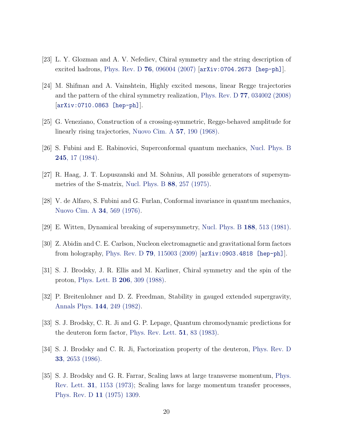- <span id="page-19-0"></span>[23] L. Y. Glozman and A. V. Nefediev, Chiral symmetry and the string description of excited hadrons, Phys. Rev. D **76**[, 096004 \(2007\)](http://journals.aps.org/prd/abstract/10.1103/PhysRevD.76.096004)  $[\text{arXiv:0704.2673}$   $[\text{hep-ph}]]$ .
- <span id="page-19-1"></span>[24] M. Shifman and A. Vainshtein, Highly excited mesons, linear Regge trajectories and the pattern of the chiral symmetry realization, Phys. Rev. D 77[, 034002 \(2008\)](http://journals.aps.org/prd/abstract/10.1103/PhysRevD.77.034002) [[arXiv:0710.0863 \[hep-ph\]](https://arxiv.org/abs/0710.0863)].
- <span id="page-19-2"></span>[25] G. Veneziano, Construction of a crossing-symmetric, Regge-behaved amplitude for linearly rising trajectories, [Nuovo Cim. A](http://link.springer.com/article/10.1007%2FBF02824451) 57, 190 (1968).
- <span id="page-19-3"></span>[26] S. Fubini and E. Rabinovici, Superconformal quantum mechanics, [Nucl. Phys. B](http://www.sciencedirect.com/science/article/pii/055032138490422X) 245[, 17 \(1984\).](http://www.sciencedirect.com/science/article/pii/055032138490422X)
- <span id="page-19-4"></span>[27] R. Haag, J. T. Lopuszanski and M. Sohnius, All possible generators of supersymmetries of the S-matrix, [Nucl. Phys. B](http://www.sciencedirect.com/science/article/pii/0550321375902795) 88, 257 (1975).
- <span id="page-19-5"></span>[28] V. de Alfaro, S. Fubini and G. Furlan, Conformal invariance in quantum mechanics, [Nuovo Cim. A](http://link.springer.com/article/10.1007%2FBF02785666) 34, 569 (1976).
- <span id="page-19-6"></span>[29] E. Witten, Dynamical breaking of supersymmetry, [Nucl. Phys. B](http://www.sciencedirect.com/science/article/pii/0550321381900067) 188, 513 (1981).
- <span id="page-19-7"></span>[30] Z. Abidin and C. E. Carlson, Nucleon electromagnetic and gravitational form factors from holography, Phys. Rev. D 79[, 115003 \(2009\)](http://prd.aps.org/abstract/PRD/v79/i11/e115003) [[arXiv:0903.4818 \[hep-ph\]](http://arXiv.org/abs/0903.4818)].
- <span id="page-19-8"></span>[31] S. J. Brodsky, J. R. Ellis and M. Karliner, Chiral symmetry and the spin of the proton, [Phys. Lett. B](http://www.sciencedirect.com/science/article/pii/0370269388915110) 206, 309 (1988).
- <span id="page-19-9"></span>[32] P. Breitenlohner and D. Z. Freedman, Stability in gauged extended supergravity, [Annals Phys.](http://www.sciencedirect.com/science/article/pii/0003491682901166) 144, 249 (1982).
- <span id="page-19-10"></span>[33] S. J. Brodsky, C. R. Ji and G. P. Lepage, Quantum chromodynamic predictions for the deuteron form factor, [Phys. Rev. Lett.](http://journals.aps.org/prl/abstract/10.1103/PhysRevLett.51.83) 51, 83 (1983).
- <span id="page-19-11"></span>[34] S. J. Brodsky and C. R. Ji, Factorization property of the deuteron, [Phys. Rev. D](http://journals.aps.org/prd/abstract/10.1103/PhysRevD.33.2653) 33[, 2653 \(1986\).](http://journals.aps.org/prd/abstract/10.1103/PhysRevD.33.2653)
- <span id="page-19-12"></span>[35] S. J. Brodsky and G. R. Farrar, Scaling laws at large transverse momentum, [Phys.](http://prl.aps.org/abstract/PRL/v31/i18/p1153_1) Rev. Lett. 31[, 1153 \(1973\);](http://prl.aps.org/abstract/PRL/v31/i18/p1153_1) Scaling laws for large momentum transfer processes, [Phys. Rev. D](http://journals.aps.org/prd/abstract/10.1103/PhysRevD.11.1309) 11 (1975) 1309.